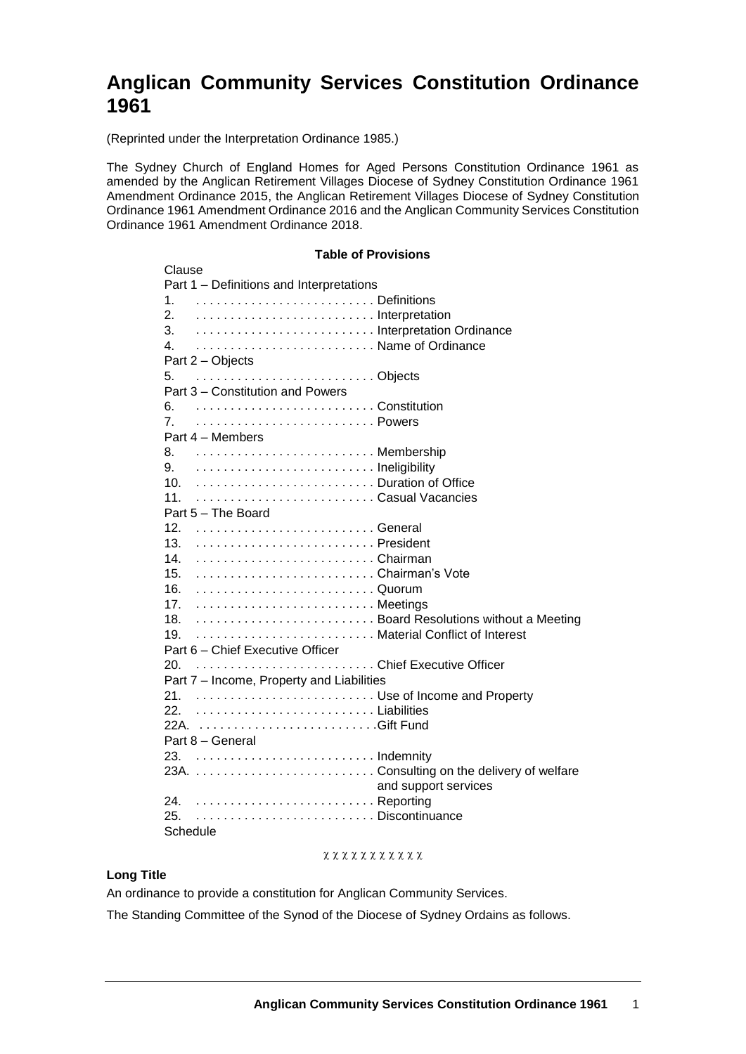# **Anglican Community Services Constitution Ordinance 1961**

(Reprinted under the Interpretation Ordinance 1985.)

The Sydney Church of England Homes for Aged Persons Constitution Ordinance 1961 as amended by the Anglican Retirement Villages Diocese of Sydney Constitution Ordinance 1961 Amendment Ordinance 2015, the Anglican Retirement Villages Diocese of Sydney Constitution Ordinance 1961 Amendment Ordinance 2016 and the Anglican Community Services Constitution Ordinance 1961 Amendment Ordinance 2018.

> **Table of Provisions** Clause Part 1 – Definitions and Interpretations 1. . . . . . . . . . . . . . . . . . . . . . . . . . . Definitions 2. . . . . . . . . . . . . . . . . . . . . . . . . . . Interpretation 3. . . . . . . . . . . . . . . . . . . . . . . . . . . Interpretation Ordinance 4. . . . . . . . . . . . . . . . . . . . . . . . . . . Name of Ordinance Part 2 – Objects 5. . . . . . . . . . . . . . . . . . . . . . . . . . . Objects Part 3 – Constitution and Powers 6. . . . . . . . . . . . . . . . . . . . . . . . . . . Constitution 7. . . . . . . . . . . . . . . . . . . . . . . . . . . Powers Part 4 – Members 8. . . . . . . . . . . . . . . . . . . . . . . . . . . Membership 9. . . . . . . . . . . . . . . . . . . . . . . . . . . Ineligibility 10. . . . . . . . . . . . . . . . . . . . . . . . . . . Duration of Office 11. . . . . . . . . . . . . . . . . . . . . . . . . . . Casual Vacancies Part 5 – The Board 12. . . . . . . . . . . . . . . . . . . . . . . . . . . General 13. . . . . . . . . . . . . . . . . . . . . . . . . . . President 14. . . . . . . . . . . . . . . . . . . . . . . . . . . Chairman 15. . . . . . . . . . . . . . . . . . . . . . . . . . . Chairman's Vote 16. . . . . . . . . . . . . . . . . . . . . . . . . . . Quorum 17. . . . . . . . . . . . . . . . . . . . . . . . . . . Meetings 18. . . . . . . . . . . . . . . . . . . . . . . . . . . Board Resolutions without a Meeting 19. . . . . . . . . . . . . . . . . . . . . . . . . . . Material Conflict of Interest Part 6 – Chief Executive Officer 20. . . . . . . . . . . . . . . . . . . . . . . . . . . Chief Executive Officer Part 7 – Income, Property and Liabilities 21. . . . . . . . . . . . . . . . . . . . . . . . . . . Use of Income and Property 22. 22A. . . . . . . . . . . . . . . . . . . . . . . . . . . Gift Fund . . . . . . . . . . . . . . . . . . . . . . . . . . Liabilities Part 8 – General 23. . . . . . . . . . . . . . . . . . . . . . . . . . . Indemnity 23A. . . . . . . . . . . . . . . . . . . . . . . . . . . Consulting on the delivery of welfare and support services 24. . . . . . . . . . . . . . . . . . . . . . . . . . . Reporting 25. . . . . . . . . . . . . . . . . . . . . . . . . . . Discontinuance Schedule

## $x x x x x x x x x x x x x$

## **Long Title**

An ordinance to provide a constitution for Anglican Community Services.

The Standing Committee of the Synod of the Diocese of Sydney Ordains as follows.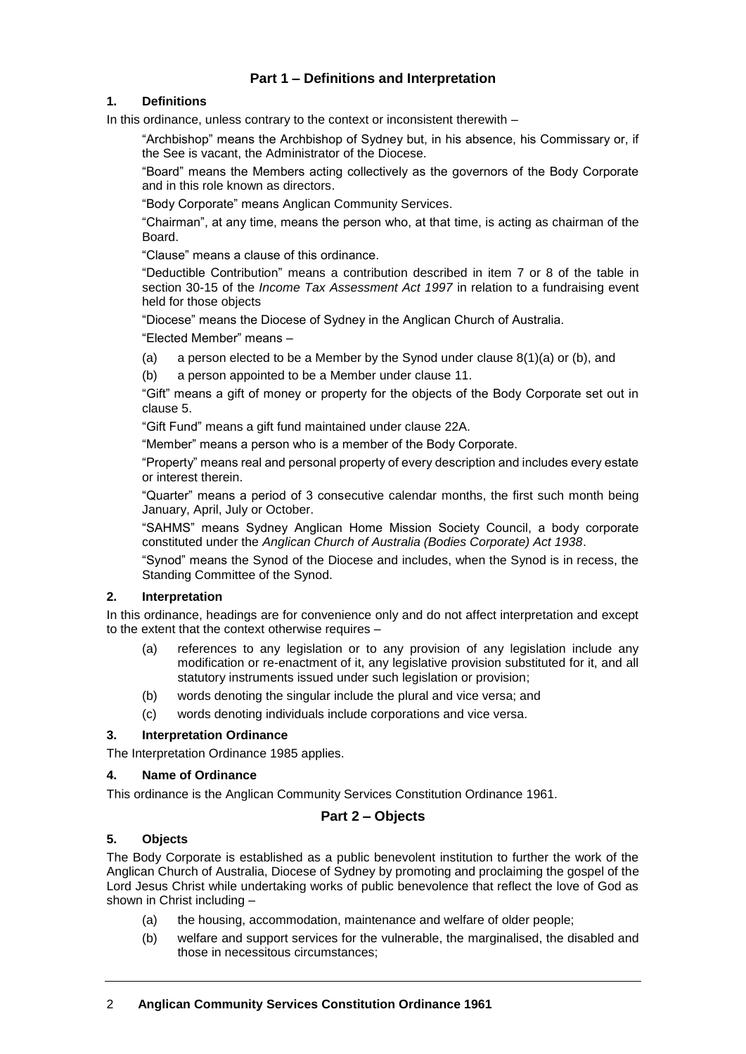# **Part 1 – Definitions and Interpretation**

## **1. Definitions**

In this ordinance, unless contrary to the context or inconsistent therewith –

"Archbishop" means the Archbishop of Sydney but, in his absence, his Commissary or, if the See is vacant, the Administrator of the Diocese.

"Board" means the Members acting collectively as the governors of the Body Corporate and in this role known as directors.

"Body Corporate" means Anglican Community Services.

"Chairman", at any time, means the person who, at that time, is acting as chairman of the **Board** 

"Clause" means a clause of this ordinance.

"Deductible Contribution" means a contribution described in item 7 or 8 of the table in section 30-15 of the *Income Tax Assessment Act 1997* in relation to a fundraising event held for those objects

"Diocese" means the Diocese of Sydney in the Anglican Church of Australia.

"Elected Member" means –

(a) a person elected to be a Member by the Synod under clause  $8(1)(a)$  or (b), and

(b) a person appointed to be a Member under clause [11.](#page-3-0)

"Gift" means a gift of money or property for the objects of the Body Corporate set out in clause 5.

"Gift Fund" means a gift fund maintained under clause 22A.

"Member" means a person who is a member of the Body Corporate.

"Property" means real and personal property of every description and includes every estate or interest therein.

"Quarter" means a period of 3 consecutive calendar months, the first such month being January, April, July or October.

"SAHMS" means Sydney Anglican Home Mission Society Council, a body corporate constituted under the *Anglican Church of Australia (Bodies Corporate) Act 1938*.

"Synod" means the Synod of the Diocese and includes, when the Synod is in recess, the Standing Committee of the Synod.

## **2. Interpretation**

In this ordinance, headings are for convenience only and do not affect interpretation and except to the extent that the context otherwise requires –

- (a) references to any legislation or to any provision of any legislation include any modification or re-enactment of it, any legislative provision substituted for it, and all statutory instruments issued under such legislation or provision;
- (b) words denoting the singular include the plural and vice versa; and
- (c) words denoting individuals include corporations and vice versa.

## **3. Interpretation Ordinance**

The Interpretation Ordinance 1985 applies.

#### **4. Name of Ordinance**

This ordinance is the Anglican Community Services Constitution Ordinance 1961.

## **Part 2 – Objects**

## **5. Objects**

The Body Corporate is established as a public benevolent institution to further the work of the Anglican Church of Australia, Diocese of Sydney by promoting and proclaiming the gospel of the Lord Jesus Christ while undertaking works of public benevolence that reflect the love of God as shown in Christ including –

- (a) the housing, accommodation, maintenance and welfare of older people;
- (b) welfare and support services for the vulnerable, the marginalised, the disabled and those in necessitous circumstances;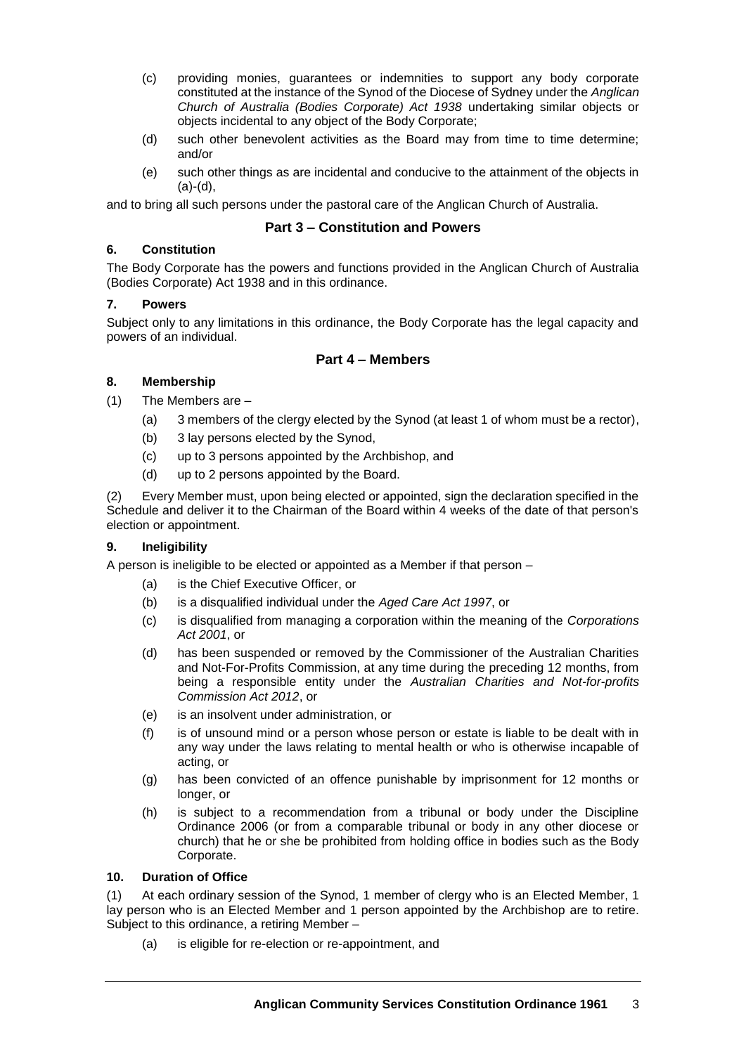- (c) providing monies, guarantees or indemnities to support any body corporate constituted at the instance of the Synod of the Diocese of Sydney under the *Anglican Church of Australia (Bodies Corporate) Act 1938* undertaking similar objects or objects incidental to any object of the Body Corporate;
- (d) such other benevolent activities as the Board may from time to time determine; and/or
- (e) such other things as are incidental and conducive to the attainment of the objects in  $(a)-(d)$ .

and to bring all such persons under the pastoral care of the Anglican Church of Australia.

## **Part 3 – Constitution and Powers**

## **6. Constitution**

The Body Corporate has the powers and functions provided in the Anglican Church of Australia (Bodies Corporate) Act 1938 and in this ordinance.

## **7. Powers**

Subject only to any limitations in this ordinance, the Body Corporate has the legal capacity and powers of an individual.

## **Part 4 – Members**

## <span id="page-2-0"></span>**8. Membership**

(1) The Members are –

- (a) 3 members of the clergy elected by the Synod (at least 1 of whom must be a rector),
- (b) 3 lay persons elected by the Synod,
- (c) up to 3 persons appointed by the Archbishop, and
- (d) up to 2 persons appointed by the Board.

<span id="page-2-1"></span>(2) Every Member must, upon being elected or appointed, sign the declaration specified in the Schedule and deliver it to the Chairman of the Board within 4 weeks of the date of that person's election or appointment.

## **9. Ineligibility**

A person is ineligible to be elected or appointed as a Member if that person –

- (a) is the Chief Executive Officer, or
- (b) is a disqualified individual under the *Aged Care Act 1997*, or
- (c) is disqualified from managing a corporation within the meaning of the *Corporations Act 2001*, or
- (d) has been suspended or removed by the Commissioner of the Australian Charities and Not-For-Profits Commission, at any time during the preceding 12 months, from being a responsible entity under the *Australian Charities and Not-for-profits Commission Act 2012*, or
- (e) is an insolvent under administration, or
- (f) is of unsound mind or a person whose person or estate is liable to be dealt with in any way under the laws relating to mental health or who is otherwise incapable of acting, or
- (g) has been convicted of an offence punishable by imprisonment for 12 months or longer, or
- (h) is subject to a recommendation from a tribunal or body under the Discipline Ordinance 2006 (or from a comparable tribunal or body in any other diocese or church) that he or she be prohibited from holding office in bodies such as the Body Corporate.

## **10. Duration of Office**

(1) At each ordinary session of the Synod, 1 member of clergy who is an Elected Member, 1 lay person who is an Elected Member and 1 person appointed by the Archbishop are to retire. Subject to this ordinance, a retiring Member –

(a) is eligible for re-election or re-appointment, and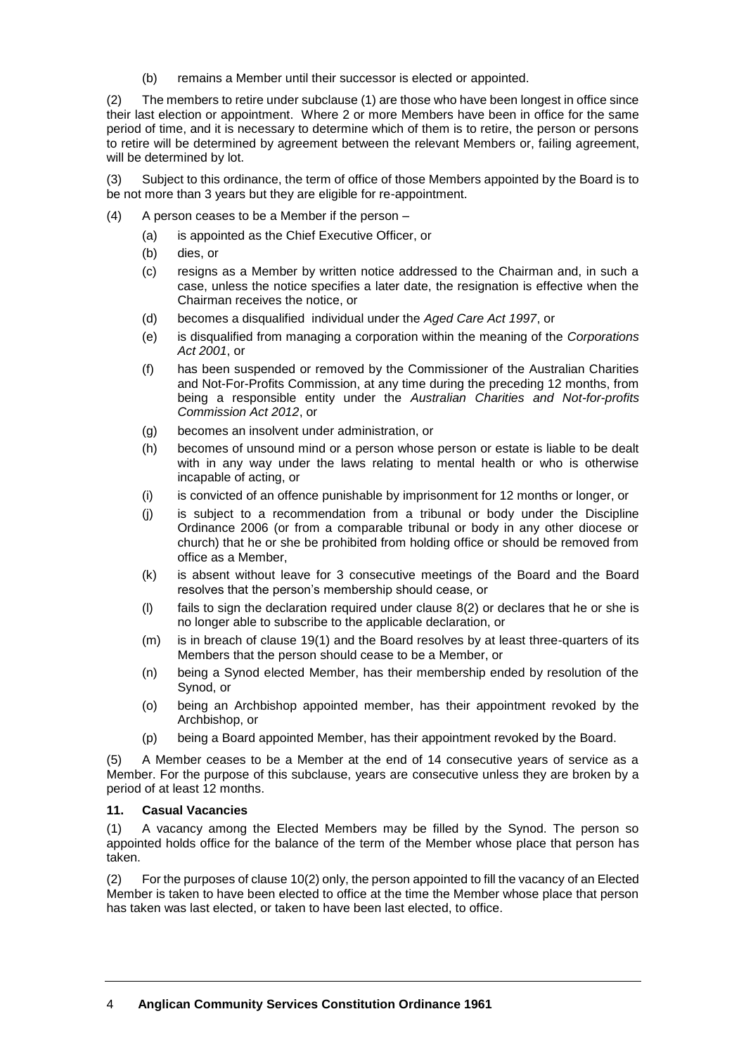(b) remains a Member until their successor is elected or appointed.

(2) The members to retire under subclause (1) are those who have been longest in office since their last election or appointment. Where 2 or more Members have been in office for the same period of time, and it is necessary to determine which of them is to retire, the person or persons to retire will be determined by agreement between the relevant Members or, failing agreement, will be determined by lot.

(3) Subject to this ordinance, the term of office of those Members appointed by the Board is to be not more than 3 years but they are eligible for re-appointment.

- (4) A person ceases to be a Member if the person
	- (a) is appointed as the Chief Executive Officer, or
	- (b) dies, or
	- (c) resigns as a Member by written notice addressed to the Chairman and, in such a case, unless the notice specifies a later date, the resignation is effective when the Chairman receives the notice, or
	- (d) becomes a disqualified individual under the *Aged Care Act 1997*, or
	- (e) is disqualified from managing a corporation within the meaning of the *Corporations Act 2001*, or
	- (f) has been suspended or removed by the Commissioner of the Australian Charities and Not-For-Profits Commission, at any time during the preceding 12 months, from being a responsible entity under the *Australian Charities and Not-for-profits Commission Act 2012*, or
	- (g) becomes an insolvent under administration, or
	- (h) becomes of unsound mind or a person whose person or estate is liable to be dealt with in any way under the laws relating to mental health or who is otherwise incapable of acting, or
	- (i) is convicted of an offence punishable by imprisonment for 12 months or longer, or
	- (j) is subject to a recommendation from a tribunal or body under the Discipline Ordinance 2006 (or from a comparable tribunal or body in any other diocese or church) that he or she be prohibited from holding office or should be removed from office as a Member,
	- (k) is absent without leave for 3 consecutive meetings of the Board and the Board resolves that the person's membership should cease, or
	- (I) fails to sign the declaration required under clause  $8(2)$  $8(2)$  or declares that he or she is no longer able to subscribe to the applicable declaration, or
	- (m) is in breach of clause [19](#page-5-0)[\(1\)](#page-5-1) and the Board resolves by at least three-quarters of its Members that the person should cease to be a Member, or
	- (n) being a Synod elected Member, has their membership ended by resolution of the Synod, or
	- (o) being an Archbishop appointed member, has their appointment revoked by the Archbishop, or
	- (p) being a Board appointed Member, has their appointment revoked by the Board.

(5) A Member ceases to be a Member at the end of 14 consecutive years of service as a Member. For the purpose of this subclause, years are consecutive unless they are broken by a period of at least 12 months.

## <span id="page-3-0"></span>**11. Casual Vacancies**

(1) A vacancy among the Elected Members may be filled by the Synod. The person so appointed holds office for the balance of the term of the Member whose place that person has taken.

(2) For the purposes of clause 10(2) only, the person appointed to fill the vacancy of an Elected Member is taken to have been elected to office at the time the Member whose place that person has taken was last elected, or taken to have been last elected, to office.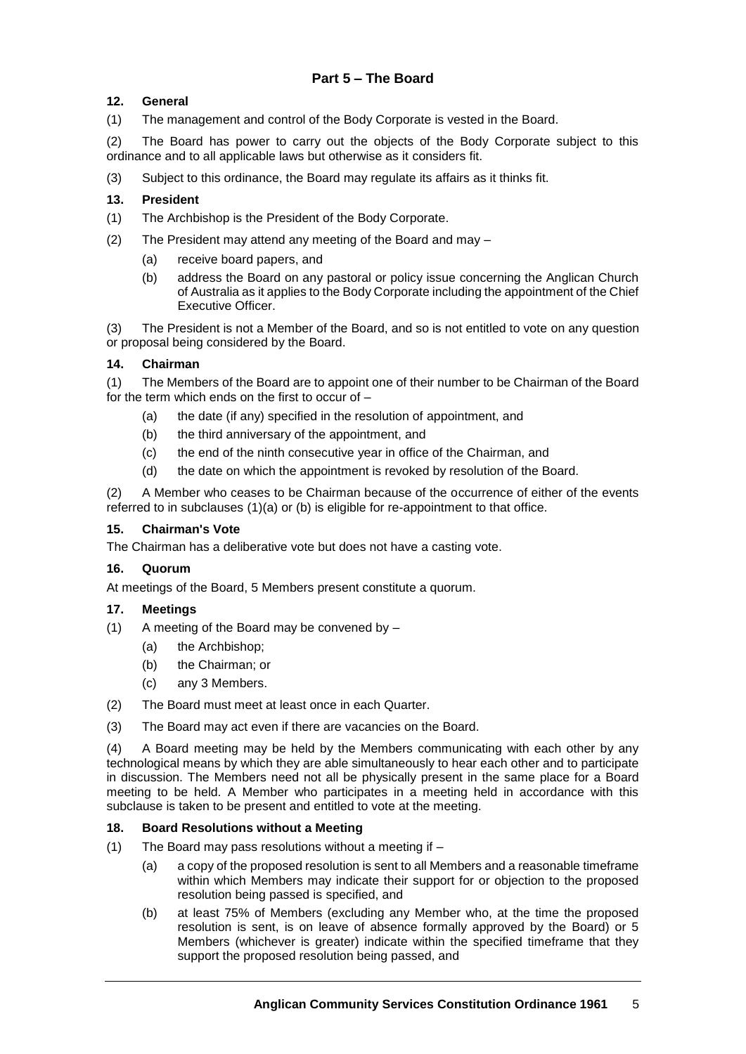## **12. General**

(1) The management and control of the Body Corporate is vested in the Board.

(2) The Board has power to carry out the objects of the Body Corporate subject to this ordinance and to all applicable laws but otherwise as it considers fit.

(3) Subject to this ordinance, the Board may regulate its affairs as it thinks fit.

## **13. President**

- (1) The Archbishop is the President of the Body Corporate.
- (2) The President may attend any meeting of the Board and may
	- (a) receive board papers, and
	- (b) address the Board on any pastoral or policy issue concerning the Anglican Church of Australia as it applies to the Body Corporate including the appointment of the Chief Executive Officer.

(3) The President is not a Member of the Board, and so is not entitled to vote on any question or proposal being considered by the Board.

## **14. Chairman**

<span id="page-4-1"></span><span id="page-4-0"></span>(1) The Members of the Board are to appoint one of their number to be Chairman of the Board for the term which ends on the first to occur of –

- (a) the date (if any) specified in the resolution of appointment, and
- <span id="page-4-2"></span>(b) the third anniversary of the appointment, and
- (c) the end of the ninth consecutive year in office of the Chairman, and
- (d) the date on which the appointment is revoked by resolution of the Board.

(2) A Member who ceases to be Chairman because of the occurrence of either of the events referred to in subclauses [\(1\)](#page-4-0)[\(a\)](#page-4-1) or [\(b\)](#page-4-2) is eligible for re-appointment to that office.

## **15. Chairman's Vote**

The Chairman has a deliberative vote but does not have a casting vote.

## **16. Quorum**

At meetings of the Board, 5 Members present constitute a quorum.

## **17. Meetings**

- (1) A meeting of the Board may be convened by
	- (a) the Archbishop;
	- (b) the Chairman; or
	- (c) any 3 Members.
- (2) The Board must meet at least once in each Quarter.
- (3) The Board may act even if there are vacancies on the Board.

(4) A Board meeting may be held by the Members communicating with each other by any technological means by which they are able simultaneously to hear each other and to participate in discussion. The Members need not all be physically present in the same place for a Board meeting to be held. A Member who participates in a meeting held in accordance with this subclause is taken to be present and entitled to vote at the meeting.

## **18. Board Resolutions without a Meeting**

- (1) The Board may pass resolutions without a meeting if
	- (a) a copy of the proposed resolution is sent to all Members and a reasonable timeframe within which Members may indicate their support for or objection to the proposed resolution being passed is specified, and
	- (b) at least 75% of Members (excluding any Member who, at the time the proposed resolution is sent, is on leave of absence formally approved by the Board) or 5 Members (whichever is greater) indicate within the specified timeframe that they support the proposed resolution being passed, and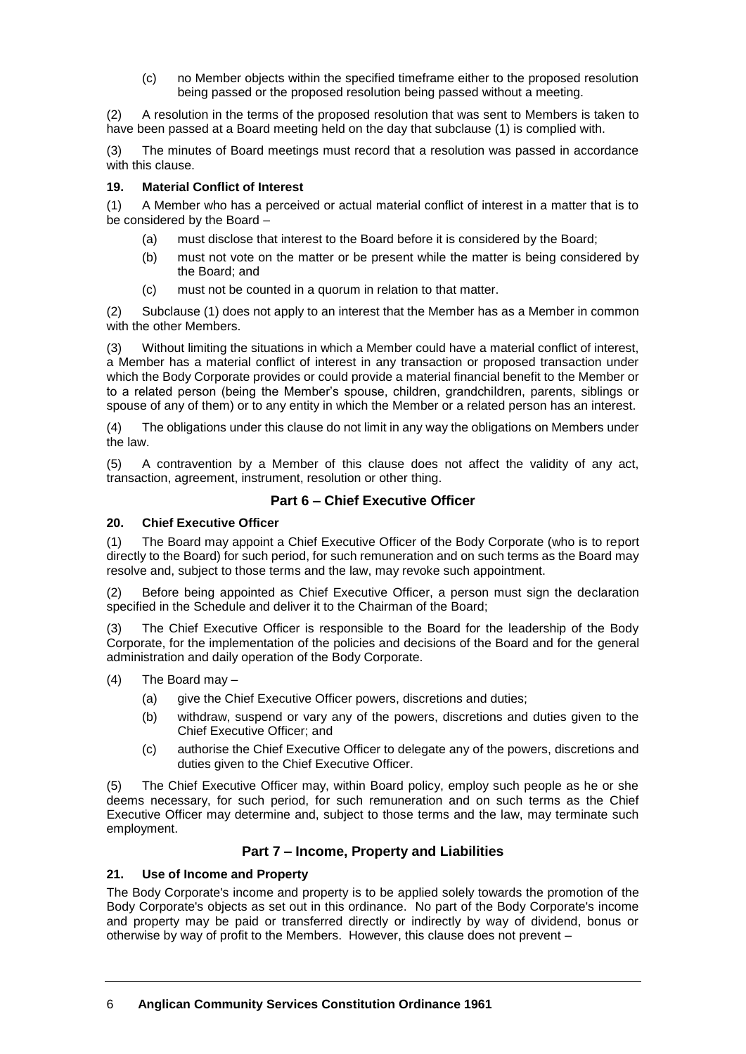(c) no Member objects within the specified timeframe either to the proposed resolution being passed or the proposed resolution being passed without a meeting.

(2) A resolution in the terms of the proposed resolution that was sent to Members is taken to have been passed at a Board meeting held on the day that subclause (1) is complied with.

(3) The minutes of Board meetings must record that a resolution was passed in accordance with this clause.

## <span id="page-5-0"></span>**19. Material Conflict of Interest**

<span id="page-5-1"></span>(1) A Member who has a perceived or actual material conflict of interest in a matter that is to be considered by the Board –

- (a) must disclose that interest to the Board before it is considered by the Board;
- (b) must not vote on the matter or be present while the matter is being considered by the Board; and
- (c) must not be counted in a quorum in relation to that matter.

(2) Subclause [\(1\)](#page-5-1) does not apply to an interest that the Member has as a Member in common with the other Members.

(3) Without limiting the situations in which a Member could have a material conflict of interest, a Member has a material conflict of interest in any transaction or proposed transaction under which the Body Corporate provides or could provide a material financial benefit to the Member or to a related person (being the Member's spouse, children, grandchildren, parents, siblings or spouse of any of them) or to any entity in which the Member or a related person has an interest.

(4) The obligations under this clause do not limit in any way the obligations on Members under the law.

(5) A contravention by a Member of this clause does not affect the validity of any act, transaction, agreement, instrument, resolution or other thing.

## **Part 6 – Chief Executive Officer**

## **20. Chief Executive Officer**

(1) The Board may appoint a Chief Executive Officer of the Body Corporate (who is to report directly to the Board) for such period, for such remuneration and on such terms as the Board may resolve and, subject to those terms and the law, may revoke such appointment.

(2) Before being appointed as Chief Executive Officer, a person must sign the declaration specified in the Schedule and deliver it to the Chairman of the Board;

(3) The Chief Executive Officer is responsible to the Board for the leadership of the Body Corporate, for the implementation of the policies and decisions of the Board and for the general administration and daily operation of the Body Corporate.

- (4) The Board may
	- (a) give the Chief Executive Officer powers, discretions and duties;
	- (b) withdraw, suspend or vary any of the powers, discretions and duties given to the Chief Executive Officer; and
	- (c) authorise the Chief Executive Officer to delegate any of the powers, discretions and duties given to the Chief Executive Officer.

(5) The Chief Executive Officer may, within Board policy, employ such people as he or she deems necessary, for such period, for such remuneration and on such terms as the Chief Executive Officer may determine and, subject to those terms and the law, may terminate such employment.

## **Part 7 – Income, Property and Liabilities**

## **21. Use of Income and Property**

The Body Corporate's income and property is to be applied solely towards the promotion of the Body Corporate's objects as set out in this ordinance. No part of the Body Corporate's income and property may be paid or transferred directly or indirectly by way of dividend, bonus or otherwise by way of profit to the Members. However, this clause does not prevent –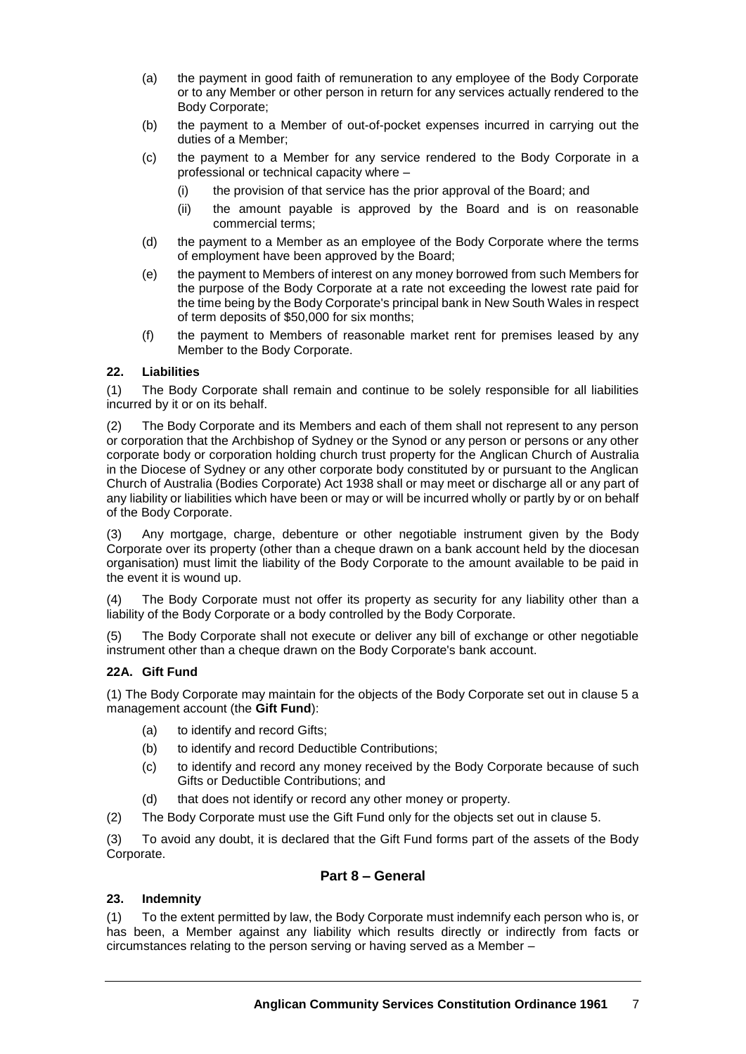- (a) the payment in good faith of remuneration to any employee of the Body Corporate or to any Member or other person in return for any services actually rendered to the Body Corporate;
- (b) the payment to a Member of out-of-pocket expenses incurred in carrying out the duties of a Member;
- (c) the payment to a Member for any service rendered to the Body Corporate in a professional or technical capacity where –
	- (i) the provision of that service has the prior approval of the Board; and
	- (ii) the amount payable is approved by the Board and is on reasonable commercial terms;
- (d) the payment to a Member as an employee of the Body Corporate where the terms of employment have been approved by the Board;
- (e) the payment to Members of interest on any money borrowed from such Members for the purpose of the Body Corporate at a rate not exceeding the lowest rate paid for the time being by the Body Corporate's principal bank in New South Wales in respect of term deposits of \$50,000 for six months;
- (f) the payment to Members of reasonable market rent for premises leased by any Member to the Body Corporate.

## **22. Liabilities**

(1) The Body Corporate shall remain and continue to be solely responsible for all liabilities incurred by it or on its behalf.

(2) The Body Corporate and its Members and each of them shall not represent to any person or corporation that the Archbishop of Sydney or the Synod or any person or persons or any other corporate body or corporation holding church trust property for the Anglican Church of Australia in the Diocese of Sydney or any other corporate body constituted by or pursuant to the Anglican Church of Australia (Bodies Corporate) Act 1938 shall or may meet or discharge all or any part of any liability or liabilities which have been or may or will be incurred wholly or partly by or on behalf of the Body Corporate.

(3) Any mortgage, charge, debenture or other negotiable instrument given by the Body Corporate over its property (other than a cheque drawn on a bank account held by the diocesan organisation) must limit the liability of the Body Corporate to the amount available to be paid in the event it is wound up.

(4) The Body Corporate must not offer its property as security for any liability other than a liability of the Body Corporate or a body controlled by the Body Corporate.

(5) The Body Corporate shall not execute or deliver any bill of exchange or other negotiable instrument other than a cheque drawn on the Body Corporate's bank account.

## **22A. Gift Fund**

(1) The Body Corporate may maintain for the objects of the Body Corporate set out in clause 5 a management account (the **Gift Fund**):

- (a) to identify and record Gifts;
- (b) to identify and record Deductible Contributions;
- (c) to identify and record any money received by the Body Corporate because of such Gifts or Deductible Contributions; and
- (d) that does not identify or record any other money or property.
- (2) The Body Corporate must use the Gift Fund only for the objects set out in clause 5.

(3) To avoid any doubt, it is declared that the Gift Fund forms part of the assets of the Body Corporate.

## **Part 8 – General**

## **23. Indemnity**

(1) To the extent permitted by law, the Body Corporate must indemnify each person who is, or has been, a Member against any liability which results directly or indirectly from facts or circumstances relating to the person serving or having served as a Member –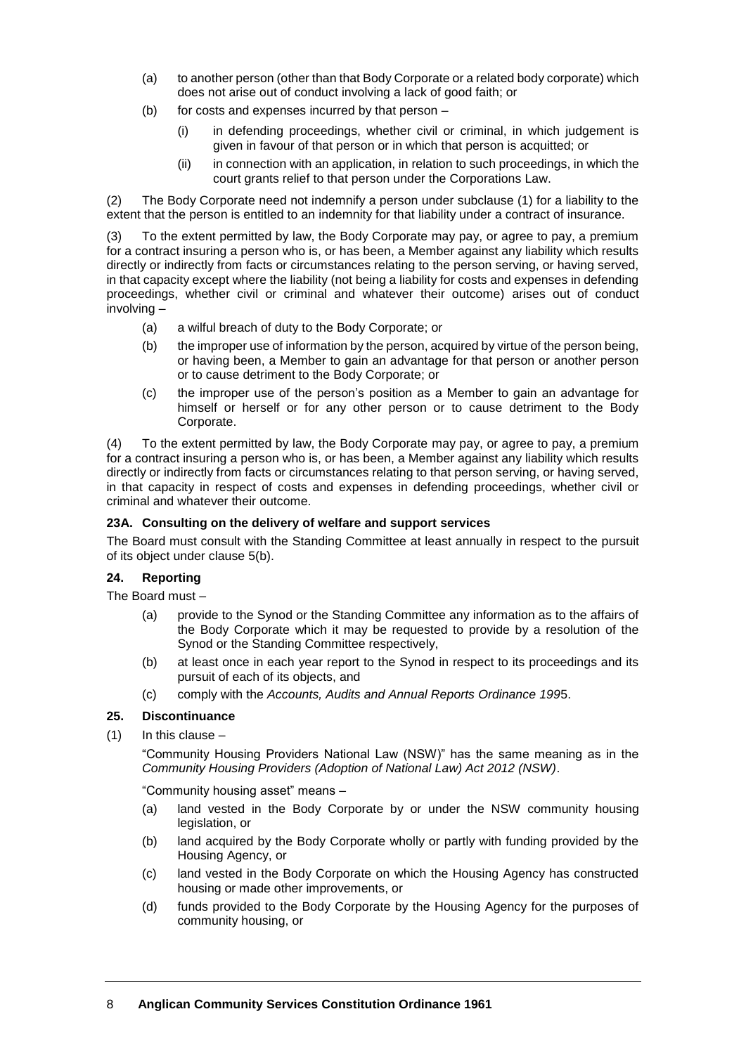- (a) to another person (other than that Body Corporate or a related body corporate) which does not arise out of conduct involving a lack of good faith; or
- (b) for costs and expenses incurred by that person
	- (i) in defending proceedings, whether civil or criminal, in which judgement is given in favour of that person or in which that person is acquitted; or
	- (ii) in connection with an application, in relation to such proceedings, in which the court grants relief to that person under the Corporations Law.

(2) The Body Corporate need not indemnify a person under subclause (1) for a liability to the extent that the person is entitled to an indemnity for that liability under a contract of insurance.

(3) To the extent permitted by law, the Body Corporate may pay, or agree to pay, a premium for a contract insuring a person who is, or has been, a Member against any liability which results directly or indirectly from facts or circumstances relating to the person serving, or having served, in that capacity except where the liability (not being a liability for costs and expenses in defending proceedings, whether civil or criminal and whatever their outcome) arises out of conduct involving –

- (a) a wilful breach of duty to the Body Corporate; or
- (b) the improper use of information by the person, acquired by virtue of the person being, or having been, a Member to gain an advantage for that person or another person or to cause detriment to the Body Corporate; or
- (c) the improper use of the person's position as a Member to gain an advantage for himself or herself or for any other person or to cause detriment to the Body Corporate.

(4) To the extent permitted by law, the Body Corporate may pay, or agree to pay, a premium for a contract insuring a person who is, or has been, a Member against any liability which results directly or indirectly from facts or circumstances relating to that person serving, or having served, in that capacity in respect of costs and expenses in defending proceedings, whether civil or criminal and whatever their outcome.

## **23A. Consulting on the delivery of welfare and support services**

The Board must consult with the Standing Committee at least annually in respect to the pursuit of its object under clause 5(b).

## **24. Reporting**

The Board must –

- (a) provide to the Synod or the Standing Committee any information as to the affairs of the Body Corporate which it may be requested to provide by a resolution of the Synod or the Standing Committee respectively,
- (b) at least once in each year report to the Synod in respect to its proceedings and its pursuit of each of its objects, and
- (c) comply with the *Accounts, Audits and Annual Reports Ordinance 199*5.

## **25. Discontinuance**

(1) In this clause –

"Community Housing Providers National Law (NSW)" has the same meaning as in the *Community Housing Providers (Adoption of National Law) Act 2012 (NSW)*.

"Community housing asset" means –

- (a) land vested in the Body Corporate by or under the NSW community housing legislation, or
- (b) land acquired by the Body Corporate wholly or partly with funding provided by the Housing Agency, or
- (c) land vested in the Body Corporate on which the Housing Agency has constructed housing or made other improvements, or
- (d) funds provided to the Body Corporate by the Housing Agency for the purposes of community housing, or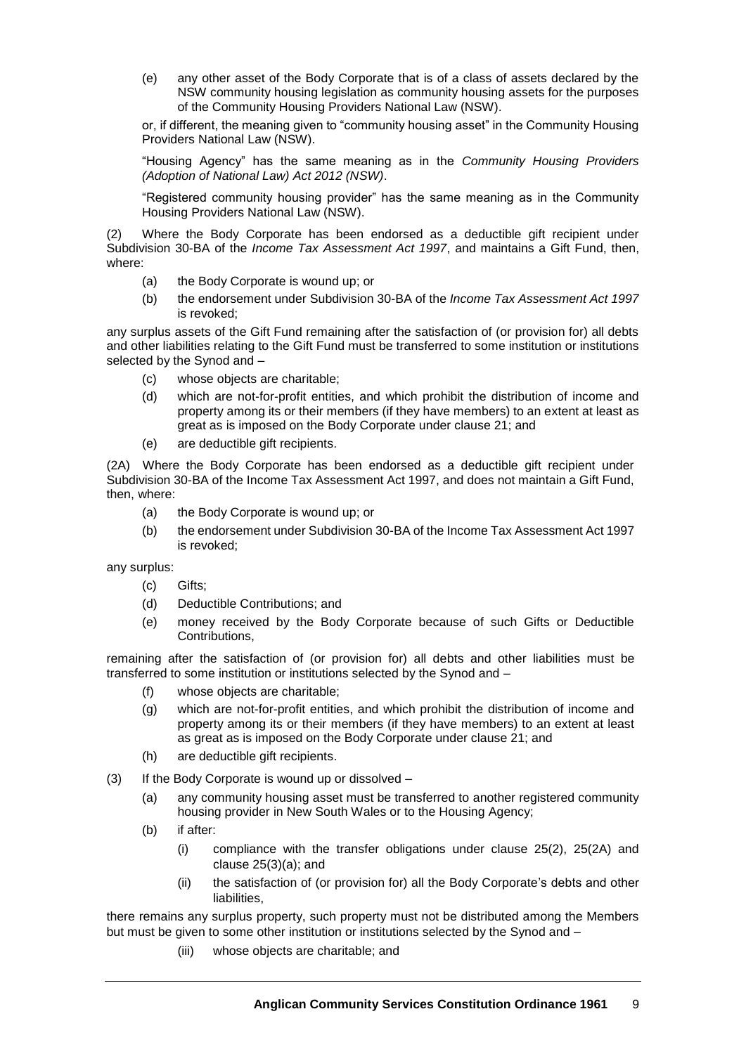(e) any other asset of the Body Corporate that is of a class of assets declared by the NSW community housing legislation as community housing assets for the purposes of the Community Housing Providers National Law (NSW).

or, if different, the meaning given to "community housing asset" in the Community Housing Providers National Law (NSW).

"Housing Agency" has the same meaning as in the *Community Housing Providers (Adoption of National Law) Act 2012 (NSW)*.

"Registered community housing provider" has the same meaning as in the Community Housing Providers National Law (NSW).

Where the Body Corporate has been endorsed as a deductible gift recipient under Subdivision 30-BA of the *Income Tax Assessment Act 1997*, and maintains a Gift Fund, then, where:

- (a) the Body Corporate is wound up; or
- (b) the endorsement under Subdivision 30-BA of the *Income Tax Assessment Act 1997* is revoked;

any surplus assets of the Gift Fund remaining after the satisfaction of (or provision for) all debts and other liabilities relating to the Gift Fund must be transferred to some institution or institutions selected by the Synod and –

- (c) whose objects are charitable;
- (d) which are not-for-profit entities, and which prohibit the distribution of income and property among its or their members (if they have members) to an extent at least as great as is imposed on the Body Corporate under clause 21; and
- (e) are deductible gift recipients.

(2A) Where the Body Corporate has been endorsed as a deductible gift recipient under Subdivision 30-BA of the Income Tax Assessment Act 1997, and does not maintain a Gift Fund, then, where:

- (a) the Body Corporate is wound up; or
- (b) the endorsement under Subdivision 30-BA of the Income Tax Assessment Act 1997 is revoked;

any surplus:

- (c) Gifts;
- (d) Deductible Contributions; and
- (e) money received by the Body Corporate because of such Gifts or Deductible Contributions,

remaining after the satisfaction of (or provision for) all debts and other liabilities must be transferred to some institution or institutions selected by the Synod and –

- (f) whose objects are charitable;
- (g) which are not-for-profit entities, and which prohibit the distribution of income and property among its or their members (if they have members) to an extent at least as great as is imposed on the Body Corporate under clause 21; and
- (h) are deductible gift recipients.
- (3) If the Body Corporate is wound up or dissolved
	- (a) any community housing asset must be transferred to another registered community housing provider in New South Wales or to the Housing Agency;
	- (b) if after:
		- (i) compliance with the transfer obligations under clause 25(2), 25(2A) and clause 25(3)(a); and
		- (ii) the satisfaction of (or provision for) all the Body Corporate's debts and other liabilities,

there remains any surplus property, such property must not be distributed among the Members but must be given to some other institution or institutions selected by the Synod and -

(iii) whose objects are charitable; and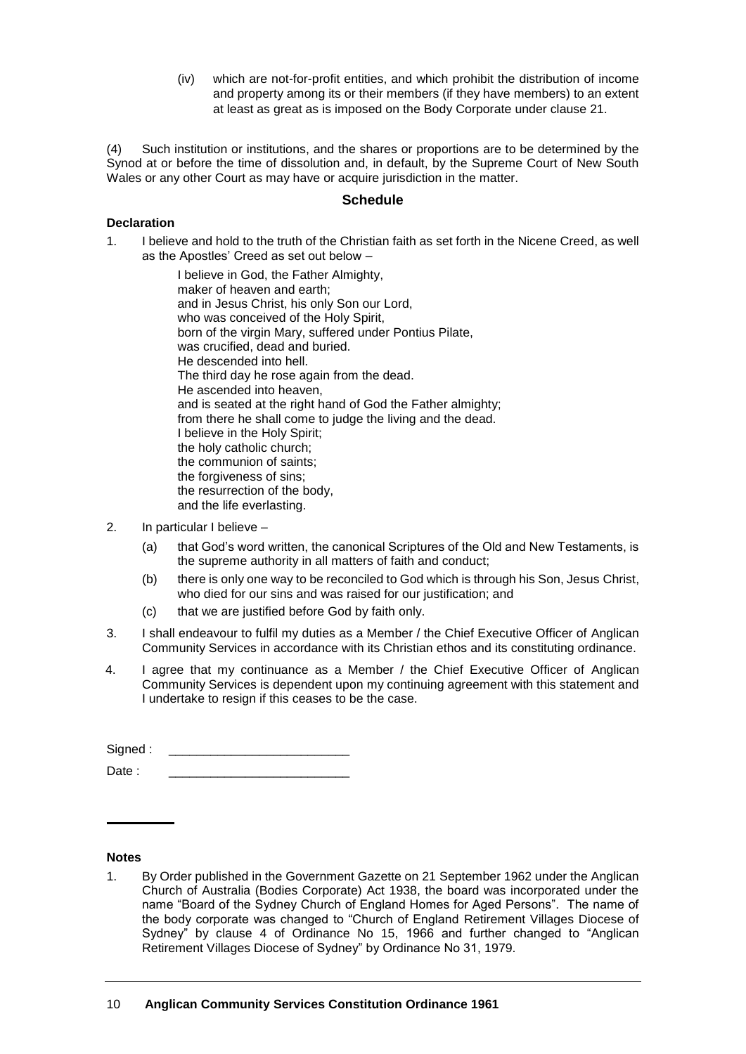(iv) which are not-for-profit entities, and which prohibit the distribution of income and property among its or their members (if they have members) to an extent at least as great as is imposed on the Body Corporate under clause 21.

(4) Such institution or institutions, and the shares or proportions are to be determined by the Synod at or before the time of dissolution and, in default, by the Supreme Court of New South Wales or any other Court as may have or acquire jurisdiction in the matter.

## **Schedule**

## **Declaration**

1. I believe and hold to the truth of the Christian faith as set forth in the Nicene Creed, as well as the Apostles' Creed as set out below –

> I believe in God, the Father Almighty, maker of heaven and earth; and in Jesus Christ, his only Son our Lord, who was conceived of the Holy Spirit, born of the virgin Mary, suffered under Pontius Pilate, was crucified, dead and buried. He descended into hell. The third day he rose again from the dead. He ascended into heaven, and is seated at the right hand of God the Father almighty; from there he shall come to judge the living and the dead. I believe in the Holy Spirit; the holy catholic church; the communion of saints; the forgiveness of sins; the resurrection of the body, and the life everlasting.

- 2. In particular I believe
	- (a) that God's word written, the canonical Scriptures of the Old and New Testaments, is the supreme authority in all matters of faith and conduct;
	- (b) there is only one way to be reconciled to God which is through his Son, Jesus Christ, who died for our sins and was raised for our justification; and
	- (c) that we are justified before God by faith only.
- 3. I shall endeavour to fulfil my duties as a Member / the Chief Executive Officer of Anglican Community Services in accordance with its Christian ethos and its constituting ordinance.
- 4. I agree that my continuance as a Member / the Chief Executive Officer of Anglican Community Services is dependent upon my continuing agreement with this statement and I undertake to resign if this ceases to be the case.

| Signed: |  |
|---------|--|
| Date :  |  |

#### **Notes**

1. By Order published in the Government Gazette on 21 September 1962 under the Anglican Church of Australia (Bodies Corporate) Act 1938, the board was incorporated under the name "Board of the Sydney Church of England Homes for Aged Persons". The name of the body corporate was changed to "Church of England Retirement Villages Diocese of Sydney" by clause 4 of Ordinance No 15, 1966 and further changed to "Anglican Retirement Villages Diocese of Sydney" by Ordinance No 31, 1979.